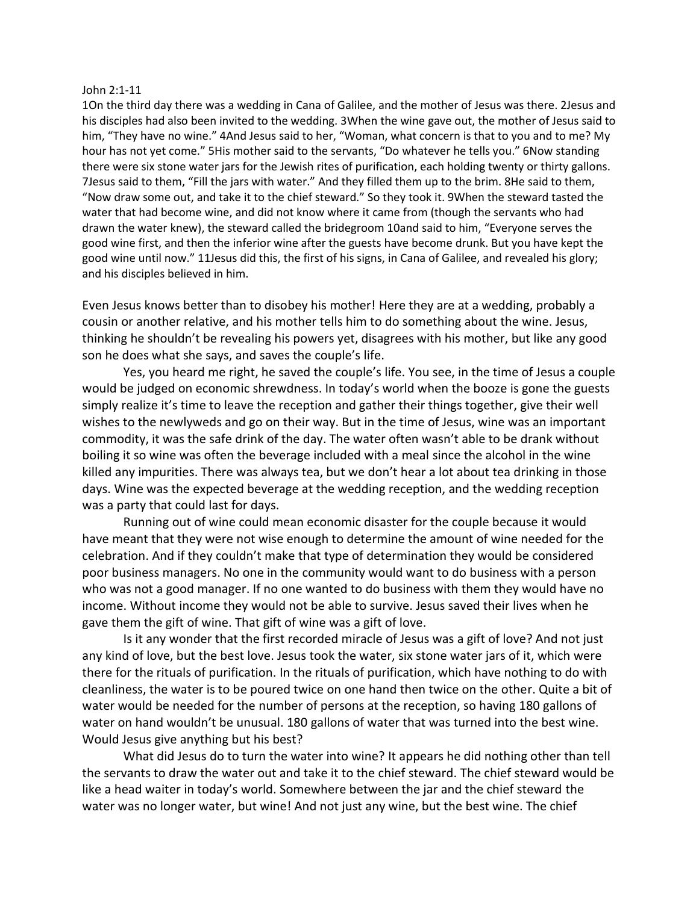## John 2:1-11

1On the third day there was a wedding in Cana of Galilee, and the mother of Jesus was there. 2Jesus and his disciples had also been invited to the wedding. 3When the wine gave out, the mother of Jesus said to him, "They have no wine." 4And Jesus said to her, "Woman, what concern is that to you and to me? My hour has not yet come." 5His mother said to the servants, "Do whatever he tells you." 6Now standing there were six stone water jars for the Jewish rites of purification, each holding twenty or thirty gallons. 7Jesus said to them, "Fill the jars with water." And they filled them up to the brim. 8He said to them, "Now draw some out, and take it to the chief steward." So they took it. 9When the steward tasted the water that had become wine, and did not know where it came from (though the servants who had drawn the water knew), the steward called the bridegroom 10and said to him, "Everyone serves the good wine first, and then the inferior wine after the guests have become drunk. But you have kept the good wine until now." 11Jesus did this, the first of his signs, in Cana of Galilee, and revealed his glory; and his disciples believed in him.

Even Jesus knows better than to disobey his mother! Here they are at a wedding, probably a cousin or another relative, and his mother tells him to do something about the wine. Jesus, thinking he shouldn't be revealing his powers yet, disagrees with his mother, but like any good son he does what she says, and saves the couple's life.

Yes, you heard me right, he saved the couple's life. You see, in the time of Jesus a couple would be judged on economic shrewdness. In today's world when the booze is gone the guests simply realize it's time to leave the reception and gather their things together, give their well wishes to the newlyweds and go on their way. But in the time of Jesus, wine was an important commodity, it was the safe drink of the day. The water often wasn't able to be drank without boiling it so wine was often the beverage included with a meal since the alcohol in the wine killed any impurities. There was always tea, but we don't hear a lot about tea drinking in those days. Wine was the expected beverage at the wedding reception, and the wedding reception was a party that could last for days.

Running out of wine could mean economic disaster for the couple because it would have meant that they were not wise enough to determine the amount of wine needed for the celebration. And if they couldn't make that type of determination they would be considered poor business managers. No one in the community would want to do business with a person who was not a good manager. If no one wanted to do business with them they would have no income. Without income they would not be able to survive. Jesus saved their lives when he gave them the gift of wine. That gift of wine was a gift of love.

Is it any wonder that the first recorded miracle of Jesus was a gift of love? And not just any kind of love, but the best love. Jesus took the water, six stone water jars of it, which were there for the rituals of purification. In the rituals of purification, which have nothing to do with cleanliness, the water is to be poured twice on one hand then twice on the other. Quite a bit of water would be needed for the number of persons at the reception, so having 180 gallons of water on hand wouldn't be unusual. 180 gallons of water that was turned into the best wine. Would Jesus give anything but his best?

What did Jesus do to turn the water into wine? It appears he did nothing other than tell the servants to draw the water out and take it to the chief steward. The chief steward would be like a head waiter in today's world. Somewhere between the jar and the chief steward the water was no longer water, but wine! And not just any wine, but the best wine. The chief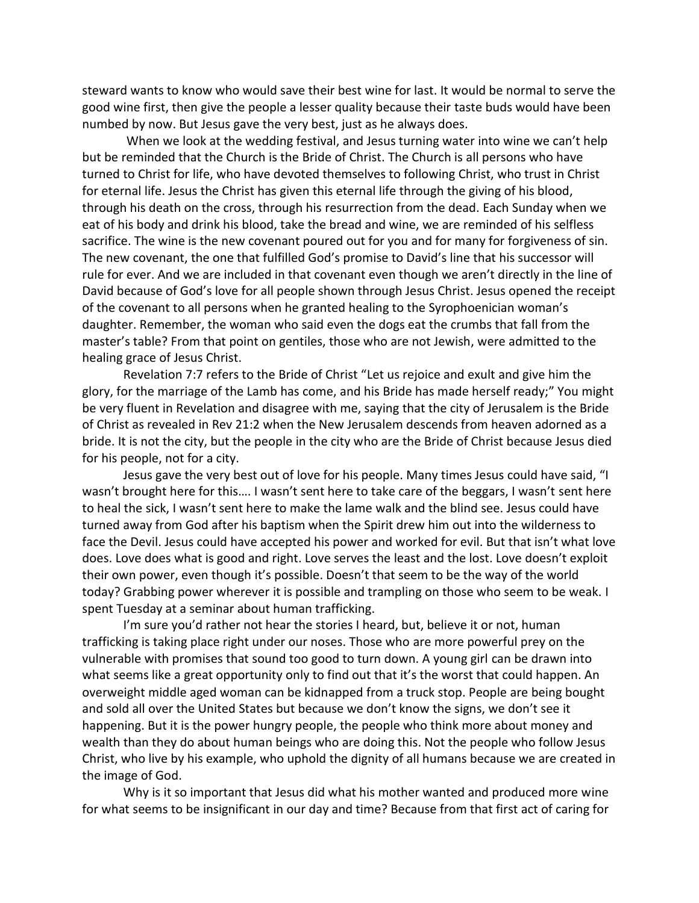steward wants to know who would save their best wine for last. It would be normal to serve the good wine first, then give the people a lesser quality because their taste buds would have been numbed by now. But Jesus gave the very best, just as he always does.

When we look at the wedding festival, and Jesus turning water into wine we can't help but be reminded that the Church is the Bride of Christ. The Church is all persons who have turned to Christ for life, who have devoted themselves to following Christ, who trust in Christ for eternal life. Jesus the Christ has given this eternal life through the giving of his blood, through his death on the cross, through his resurrection from the dead. Each Sunday when we eat of his body and drink his blood, take the bread and wine, we are reminded of his selfless sacrifice. The wine is the new covenant poured out for you and for many for forgiveness of sin. The new covenant, the one that fulfilled God's promise to David's line that his successor will rule for ever. And we are included in that covenant even though we aren't directly in the line of David because of God's love for all people shown through Jesus Christ. Jesus opened the receipt of the covenant to all persons when he granted healing to the Syrophoenician woman's daughter. Remember, the woman who said even the dogs eat the crumbs that fall from the master's table? From that point on gentiles, those who are not Jewish, were admitted to the healing grace of Jesus Christ.

Revelation 7:7 refers to the Bride of Christ "Let us rejoice and exult and give him the glory, for the marriage of the Lamb has come, and his Bride has made herself ready;" You might be very fluent in Revelation and disagree with me, saying that the city of Jerusalem is the Bride of Christ as revealed in Rev 21:2 when the New Jerusalem descends from heaven adorned as a bride. It is not the city, but the people in the city who are the Bride of Christ because Jesus died for his people, not for a city.

Jesus gave the very best out of love for his people. Many times Jesus could have said, "I wasn't brought here for this…. I wasn't sent here to take care of the beggars, I wasn't sent here to heal the sick, I wasn't sent here to make the lame walk and the blind see. Jesus could have turned away from God after his baptism when the Spirit drew him out into the wilderness to face the Devil. Jesus could have accepted his power and worked for evil. But that isn't what love does. Love does what is good and right. Love serves the least and the lost. Love doesn't exploit their own power, even though it's possible. Doesn't that seem to be the way of the world today? Grabbing power wherever it is possible and trampling on those who seem to be weak. I spent Tuesday at a seminar about human trafficking.

I'm sure you'd rather not hear the stories I heard, but, believe it or not, human trafficking is taking place right under our noses. Those who are more powerful prey on the vulnerable with promises that sound too good to turn down. A young girl can be drawn into what seems like a great opportunity only to find out that it's the worst that could happen. An overweight middle aged woman can be kidnapped from a truck stop. People are being bought and sold all over the United States but because we don't know the signs, we don't see it happening. But it is the power hungry people, the people who think more about money and wealth than they do about human beings who are doing this. Not the people who follow Jesus Christ, who live by his example, who uphold the dignity of all humans because we are created in the image of God.

Why is it so important that Jesus did what his mother wanted and produced more wine for what seems to be insignificant in our day and time? Because from that first act of caring for